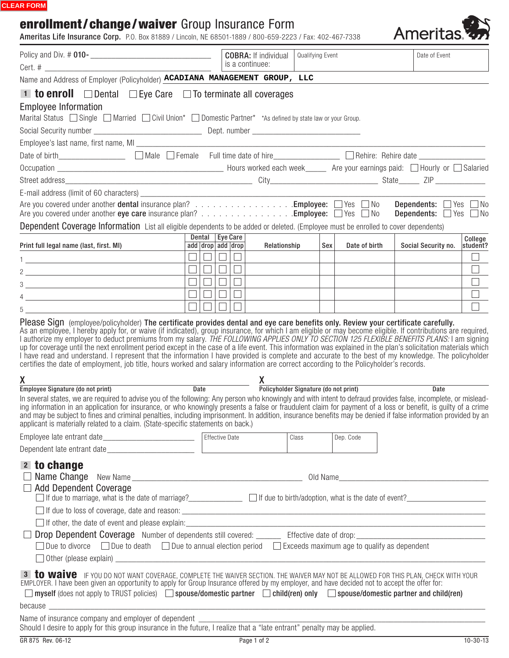#### **CLEAR FORM**

# enrollment/change/waiver Group Insurance Form

|                                                                                                                                                                                                                                                                                                                                                                                                                                                                                                                                                                                      | Policy and Div. # 010-<br><u> </u> |        | <b>COBRA:</b> If individual<br>is a continuee: | Qualifying Event |               | Date of Event                                                                      |          |
|--------------------------------------------------------------------------------------------------------------------------------------------------------------------------------------------------------------------------------------------------------------------------------------------------------------------------------------------------------------------------------------------------------------------------------------------------------------------------------------------------------------------------------------------------------------------------------------|------------------------------------|--------|------------------------------------------------|------------------|---------------|------------------------------------------------------------------------------------|----------|
| Name and Address of Employer (Policyholder) <b>ACADIANA MANAGEMENT GROUP, LLC</b>                                                                                                                                                                                                                                                                                                                                                                                                                                                                                                    |                                    |        |                                                |                  |               |                                                                                    |          |
| <b>1 to enroll</b> $\Box$ Dental $\Box$ Eye Care $\Box$ To terminate all coverages                                                                                                                                                                                                                                                                                                                                                                                                                                                                                                   |                                    |        |                                                |                  |               |                                                                                    |          |
| <b>Employee Information</b>                                                                                                                                                                                                                                                                                                                                                                                                                                                                                                                                                          |                                    |        |                                                |                  |               |                                                                                    |          |
| Marital Status Single Married Civil Union* Domestic Partner* *As defined by state law or your Group.                                                                                                                                                                                                                                                                                                                                                                                                                                                                                 |                                    |        |                                                |                  |               |                                                                                    |          |
|                                                                                                                                                                                                                                                                                                                                                                                                                                                                                                                                                                                      |                                    |        |                                                |                  |               |                                                                                    |          |
|                                                                                                                                                                                                                                                                                                                                                                                                                                                                                                                                                                                      |                                    |        |                                                |                  |               |                                                                                    |          |
| Date of birth____________________ [ Male   Female Full time date of hire______________ [ Rehire: Rehire date ________________                                                                                                                                                                                                                                                                                                                                                                                                                                                        |                                    |        |                                                |                  |               |                                                                                    |          |
|                                                                                                                                                                                                                                                                                                                                                                                                                                                                                                                                                                                      |                                    |        |                                                |                  |               |                                                                                    |          |
|                                                                                                                                                                                                                                                                                                                                                                                                                                                                                                                                                                                      |                                    |        |                                                |                  |               |                                                                                    |          |
|                                                                                                                                                                                                                                                                                                                                                                                                                                                                                                                                                                                      |                                    |        |                                                |                  |               |                                                                                    |          |
| Are you covered under another dental insurance plan? Employee: □ Yes □ No                                                                                                                                                                                                                                                                                                                                                                                                                                                                                                            |                                    |        |                                                |                  |               | <b>Dependents:</b> $\Box$ Yes $\Box$ No<br><b>Dependents:</b> $\Box$ Yes $\Box$ No |          |
| Are you covered under another eye care insurance plan? Employee: $\Box$ Yes $\Box$ No                                                                                                                                                                                                                                                                                                                                                                                                                                                                                                |                                    |        |                                                |                  |               |                                                                                    |          |
| Dependent Coverage Information List all eligible dependents to be added or deleted. (Employee must be enrolled to cover dependents)                                                                                                                                                                                                                                                                                                                                                                                                                                                  | Dental Eye Care                    |        |                                                |                  |               |                                                                                    | College  |
| Print full legal name (last, first. MI)                                                                                                                                                                                                                                                                                                                                                                                                                                                                                                                                              | add drop add drop                  |        | Relationship                                   | Sex              | Date of birth | Social Security no.                                                                | student? |
| 1 <u>- John Sterling, american provide</u> and the state of the state of the state of the state of the state of the state of                                                                                                                                                                                                                                                                                                                                                                                                                                                         | $\Box$<br>$\overline{\phantom{a}}$ | $\Box$ |                                                |                  |               |                                                                                    | $\Box$   |
|                                                                                                                                                                                                                                                                                                                                                                                                                                                                                                                                                                                      | $\Box$                             | $\Box$ |                                                |                  |               |                                                                                    |          |
|                                                                                                                                                                                                                                                                                                                                                                                                                                                                                                                                                                                      |                                    |        |                                                |                  |               |                                                                                    |          |
| $\frac{1}{2}$ $\frac{1}{2}$ $\frac{1}{2}$ $\frac{1}{2}$ $\frac{1}{2}$ $\frac{1}{2}$ $\frac{1}{2}$ $\frac{1}{2}$ $\frac{1}{2}$ $\frac{1}{2}$ $\frac{1}{2}$ $\frac{1}{2}$ $\frac{1}{2}$ $\frac{1}{2}$ $\frac{1}{2}$ $\frac{1}{2}$ $\frac{1}{2}$ $\frac{1}{2}$ $\frac{1}{2}$ $\frac{1}{2}$ $\frac{1}{2}$ $\frac{1}{2}$                                                                                                                                                                                                                                                                  | 00<br>$\Box$                       |        |                                                |                  |               |                                                                                    |          |
|                                                                                                                                                                                                                                                                                                                                                                                                                                                                                                                                                                                      |                                    |        |                                                |                  |               |                                                                                    |          |
| up for coverage until the next enrollment period except in the case of a life event. This information was explained in the plan's solicitation materials which<br>I have read and understand. I represent that the information I have provided is complete and accurate to the best of my knowledge. The policyholder<br>certifies the date of employment, job title, hours worked and salary information are correct according to the Policyholder's records.<br>X<br>Employee Signature (do not print) Date Date Policyholder Signature (do not print) Date Date                   |                                    |        |                                                |                  |               |                                                                                    |          |
|                                                                                                                                                                                                                                                                                                                                                                                                                                                                                                                                                                                      |                                    |        |                                                |                  |               |                                                                                    |          |
| In several states, we are required to advise you of the following: Any person who knowingly and with intent to defraud provides false, incomplete, or mislead-<br>ing information in an application for insurance, or who knowingly presents a false or fraudulent claim for payment of a loss or benefit, is quilty of a crime<br>and may be subject to fines and criminal penalties, including imprisonment. In addition, insurance benefits may be denied if false information provided by an<br>applicant is materially related to a claim. (State-specific statements on back.) |                                    |        |                                                |                  |               |                                                                                    |          |
|                                                                                                                                                                                                                                                                                                                                                                                                                                                                                                                                                                                      |                                    |        |                                                | Class            | Dep. Code     |                                                                                    |          |
| 2 to change<br><b>Add Dependent Coverage</b><br>If due to marriage, what is the date of marriage?<br>If due to birth/adoption, what is the date of marriage?<br>If due to birth/adoption, what is the date of event?<br>1990 - 1991 - 1992 - 1994 - 1994 - 1994 - 1995 - 1997 - 1998                                                                                                                                                                                                                                                                                                 |                                    |        |                                                |                  |               |                                                                                    |          |
|                                                                                                                                                                                                                                                                                                                                                                                                                                                                                                                                                                                      |                                    |        |                                                |                  |               |                                                                                    |          |
| $\Box$ Due to divorce $\Box$ Due to death $\Box$ Due to annual election period $\Box$ Exceeds maximum age to qualify as dependent                                                                                                                                                                                                                                                                                                                                                                                                                                                    |                                    |        |                                                |                  |               |                                                                                    |          |